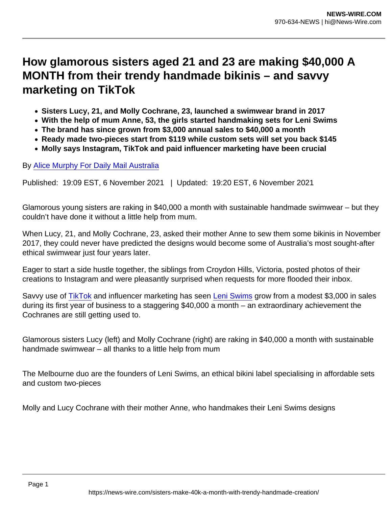## How glamorous sisters aged 21 and 23 are making \$40,000 A MONTH from their trendy handmade bikinis – and savvy marketing on TikTok

- Sisters Lucy, 21, and Molly Cochrane, 23, launched a swimwear brand in 2017
- With the help of mum Anne, 53, the girls started handmaking sets for Leni Swims
- The brand has since grown from \$3,000 annual sales to \$40,000 a month
- Ready made two-pieces start from \$119 while custom sets will set you back \$145
- Molly says Instagram, TikTok and paid influencer marketing have been crucial

By [Alice Murphy For Daily Mail Australia](http://www.dailymail.co.uk/home/search.html?s=&authornamef=Alice+Murphy+For+Daily+Mail+Australia)

Published: 19:09 EST, 6 November 2021 | Updated: 19:20 EST, 6 November 2021

Glamorous young sisters are raking in \$40,000 a month with sustainable handmade swimwear – but they couldn't have done it without a little help from mum.

When Lucy, 21, and Molly Cochrane, 23, asked their mother Anne to sew them some bikinis in November 2017, they could never have predicted the designs would become some of Australia's most sought-after ethical swimwear just four years later.

Eager to start a side hustle together, the siblings from Croydon Hills, Victoria, posted photos of their creations to Instagram and were pleasantly surprised when requests for more flooded their inbox.

Savvy use of [TikTok](http://www.dailymail.co.uk/tvshowbiz/tiktok/index.html) and influencer marketing has seen [Leni Swims](https://leniswims.com.au/) grow from a modest \$3,000 in sales during its first year of business to a staggering \$40,000 a month – an extraordinary achievement the Cochranes are still getting used to.

Glamorous sisters Lucy (left) and Molly Cochrane (right) are raking in \$40,000 a month with sustainable handmade swimwear – all thanks to a little help from mum

The Melbourne duo are the founders of Leni Swims, an ethical bikini label specialising in affordable sets and custom two-pieces

Molly and Lucy Cochrane with their mother Anne, who handmakes their Leni Swims designs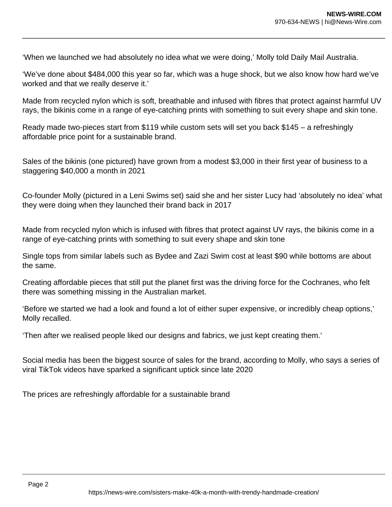'When we launched we had absolutely no idea what we were doing,' Molly told Daily Mail Australia.

'We've done about \$484,000 this year so far, which was a huge shock, but we also know how hard we've worked and that we really deserve it.'

Made from recycled nylon which is soft, breathable and infused with fibres that protect against harmful UV rays, the bikinis come in a range of eye-catching prints with something to suit every shape and skin tone.

Ready made two-pieces start from \$119 while custom sets will set you back \$145 – a refreshingly affordable price point for a sustainable brand.

Sales of the bikinis (one pictured) have grown from a modest \$3,000 in their first year of business to a staggering \$40,000 a month in 2021

Co-founder Molly (pictured in a Leni Swims set) said she and her sister Lucy had 'absolutely no idea' what they were doing when they launched their brand back in 2017

Made from recycled nylon which is infused with fibres that protect against UV rays, the bikinis come in a range of eye-catching prints with something to suit every shape and skin tone

Single tops from similar labels such as Bydee and Zazi Swim cost at least \$90 while bottoms are about the same.

Creating affordable pieces that still put the planet first was the driving force for the Cochranes, who felt there was something missing in the Australian market.

'Before we started we had a look and found a lot of either super expensive, or incredibly cheap options,' Molly recalled.

'Then after we realised people liked our designs and fabrics, we just kept creating them.'

Social media has been the biggest source of sales for the brand, according to Molly, who says a series of viral TikTok videos have sparked a significant uptick since late 2020

The prices are refreshingly affordable for a sustainable brand